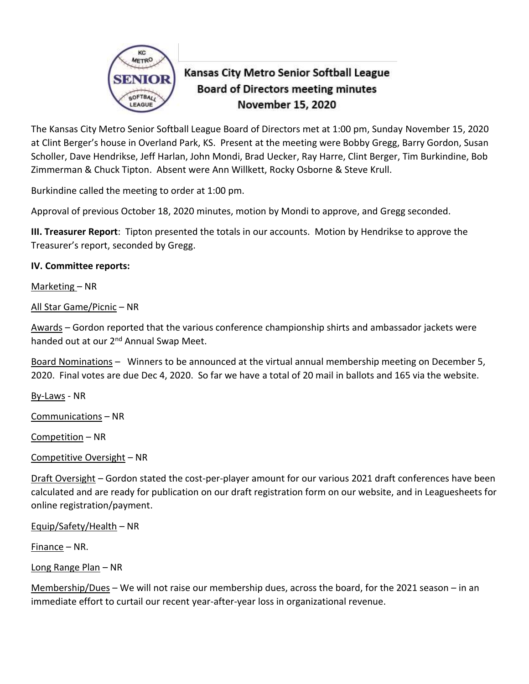

# Kansas City Metro Senior Softball League **Board of Directors meeting minutes** November 15, 2020

The Kansas City Metro Senior Softball League Board of Directors met at 1:00 pm, Sunday November 15, 2020 at Clint Berger's house in Overland Park, KS. Present at the meeting were Bobby Gregg, Barry Gordon, Susan Scholler, Dave Hendrikse, Jeff Harlan, John Mondi, Brad Uecker, Ray Harre, Clint Berger, Tim Burkindine, Bob Zimmerman & Chuck Tipton. Absent were Ann Willkett, Rocky Osborne & Steve Krull.

Burkindine called the meeting to order at 1:00 pm.

Approval of previous October 18, 2020 minutes, motion by Mondi to approve, and Gregg seconded.

**III. Treasurer Report**: Tipton presented the totals in our accounts. Motion by Hendrikse to approve the Treasurer's report, seconded by Gregg.

### **IV. Committee reports:**

Marketing – NR

All Star Game/Picnic – NR

Awards – Gordon reported that the various conference championship shirts and ambassador jackets were handed out at our 2<sup>nd</sup> Annual Swap Meet.

Board Nominations – Winners to be announced at the virtual annual membership meeting on December 5, 2020. Final votes are due Dec 4, 2020. So far we have a total of 20 mail in ballots and 165 via the website.

By-Laws - NR

Communications – NR

Competition – NR

Competitive Oversight – NR

Draft Oversight – Gordon stated the cost-per-player amount for our various 2021 draft conferences have been calculated and are ready for publication on our draft registration form on our website, and in Leaguesheets for online registration/payment.

Equip/Safety/Health – NR

Finance – NR.

Long Range Plan – NR

Membership/Dues – We will not raise our membership dues, across the board, for the 2021 season – in an immediate effort to curtail our recent year-after-year loss in organizational revenue.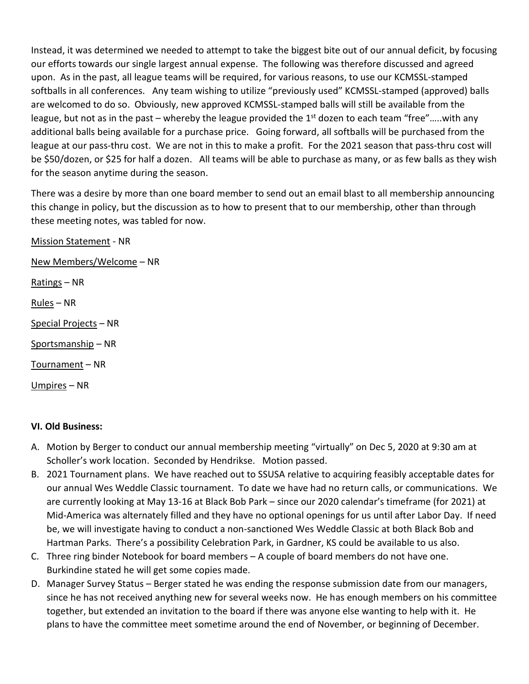Instead, it was determined we needed to attempt to take the biggest bite out of our annual deficit, by focusing our efforts towards our single largest annual expense. The following was therefore discussed and agreed upon. As in the past, all league teams will be required, for various reasons, to use our KCMSSL-stamped softballs in all conferences. Any team wishing to utilize "previously used" KCMSSL-stamped (approved) balls are welcomed to do so. Obviously, new approved KCMSSL-stamped balls will still be available from the league, but not as in the past – whereby the league provided the  $1<sup>st</sup>$  dozen to each team "free".....with any additional balls being available for a purchase price. Going forward, all softballs will be purchased from the league at our pass-thru cost. We are not in this to make a profit. For the 2021 season that pass-thru cost will be \$50/dozen, or \$25 for half a dozen. All teams will be able to purchase as many, or as few balls as they wish for the season anytime during the season.

There was a desire by more than one board member to send out an email blast to all membership announcing this change in policy, but the discussion as to how to present that to our membership, other than through these meeting notes, was tabled for now.

Mission Statement - NR

New Members/Welcome – NR

Ratings – NR

Rules – NR

Special Projects – NR

Sportsmanship – NR

Tournament – NR

Umpires – NR

#### **VI. Old Business:**

- A. Motion by Berger to conduct our annual membership meeting "virtually" on Dec 5, 2020 at 9:30 am at Scholler's work location. Seconded by Hendrikse. Motion passed.
- B. 2021 Tournament plans. We have reached out to SSUSA relative to acquiring feasibly acceptable dates for our annual Wes Weddle Classic tournament. To date we have had no return calls, or communications. We are currently looking at May 13-16 at Black Bob Park – since our 2020 calendar's timeframe (for 2021) at Mid-America was alternately filled and they have no optional openings for us until after Labor Day. If need be, we will investigate having to conduct a non-sanctioned Wes Weddle Classic at both Black Bob and Hartman Parks. There's a possibility Celebration Park, in Gardner, KS could be available to us also.
- C. Three ring binder Notebook for board members A couple of board members do not have one. Burkindine stated he will get some copies made.
- D. Manager Survey Status Berger stated he was ending the response submission date from our managers, since he has not received anything new for several weeks now. He has enough members on his committee together, but extended an invitation to the board if there was anyone else wanting to help with it. He plans to have the committee meet sometime around the end of November, or beginning of December.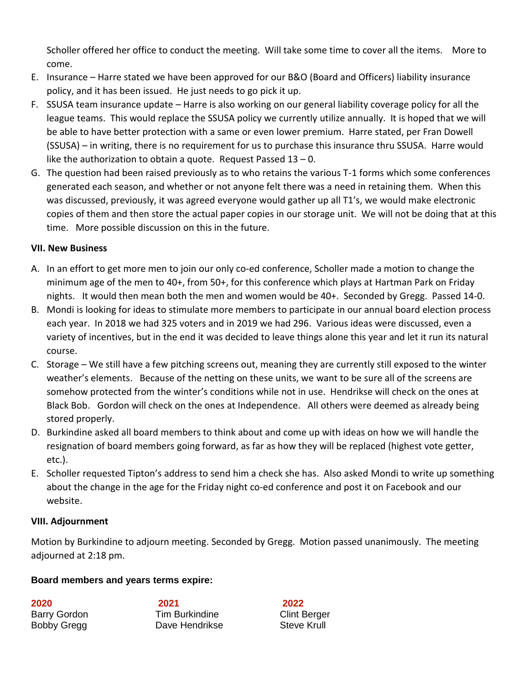Scholler offered her office to conduct the meeting. Will take some time to cover all the items. More to come.

- E. Insurance Harre stated we have been approved for our B&O (Board and Officers) liability insurance policy, and it has been issued. He just needs to go pick it up.
- F. SSUSA team insurance update Harre is also working on our general liability coverage policy for all the league teams. This would replace the SSUSA policy we currently utilize annually. It is hoped that we will be able to have better protection with a same or even lower premium. Harre stated, per Fran Dowell (SSUSA) – in writing, there is no requirement for us to purchase this insurance thru SSUSA. Harre would like the authorization to obtain a quote. Request Passed  $13 - 0$ .
- G. The question had been raised previously as to who retains the various T-1 forms which some conferences generated each season, and whether or not anyone felt there was a need in retaining them. When this was discussed, previously, it was agreed everyone would gather up all T1's, we would make electronic copies of them and then store the actual paper copies in our storage unit. We will not be doing that at this time. More possible discussion on this in the future.

## **VII. New Business**

- A. In an effort to get more men to join our only co-ed conference, Scholler made a motion to change the minimum age of the men to 40+, from 50+, for this conference which plays at Hartman Park on Friday nights. It would then mean both the men and women would be 40+. Seconded by Gregg. Passed 14-0.
- B. Mondi is looking for ideas to stimulate more members to participate in our annual board election process each year. In 2018 we had 325 voters and in 2019 we had 296. Various ideas were discussed, even a variety of incentives, but in the end it was decided to leave things alone this year and let it run its natural course.
- C. Storage We still have a few pitching screens out, meaning they are currently still exposed to the winter weather's elements. Because of the netting on these units, we want to be sure all of the screens are somehow protected from the winter's conditions while not in use. Hendrikse will check on the ones at Black Bob. Gordon will check on the ones at Independence. All others were deemed as already being stored properly.
- D. Burkindine asked all board members to think about and come up with ideas on how we will handle the resignation of board members going forward, as far as how they will be replaced (highest vote getter, etc.).
- E. Scholler requested Tipton's address to send him a check she has. Also asked Mondi to write up something about the change in the age for the Friday night co-ed conference and post it on Facebook and our website.

### **VIII. Adjournment**

Motion by Burkindine to adjourn meeting. Seconded by Gregg. Motion passed unanimously. The meeting adjourned at 2:18 pm.

# **Board members and years terms expire:**

**2020 2021 2022** Barry Gordon Tim Burkindine Clint Berger Bobby Gregg **Dave Hendrikse** Steve Krull